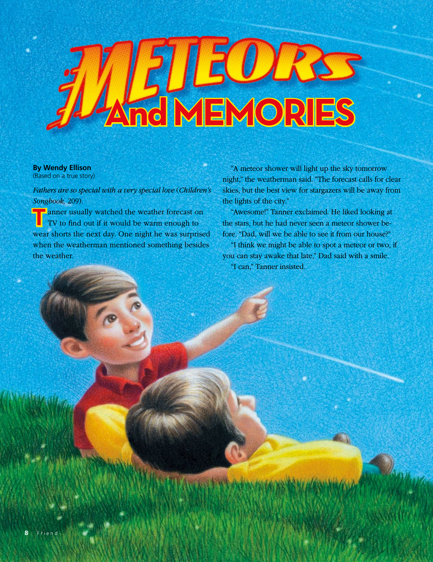## **AND MEMORIES**

## **By Wendy Ellison**

(Based on a true story)

*Fathers are so special with a very special love* (*Children's Songbook,* 209).

**T** anner usually watched the weather forecast on TV to find out if it would be warm enough to wear shorts the next day. One night he was surprised when the weatherman mentioned something besides the weather.

"A meteor shower will light up the sky tomorrow night," the weatherman said. "The forecast calls for clear skies, but the best view for stargazers will be away from the lights of the city."

"Awesome!" Tanner exclaimed. He liked looking at the stars, but he had never seen a meteor shower before. "Dad, will we be able to see it from our house?"

"I think we might be able to spot a meteor or two, if you can stay awake that late," Dad said with a smile. "I can," Tanner insisted.